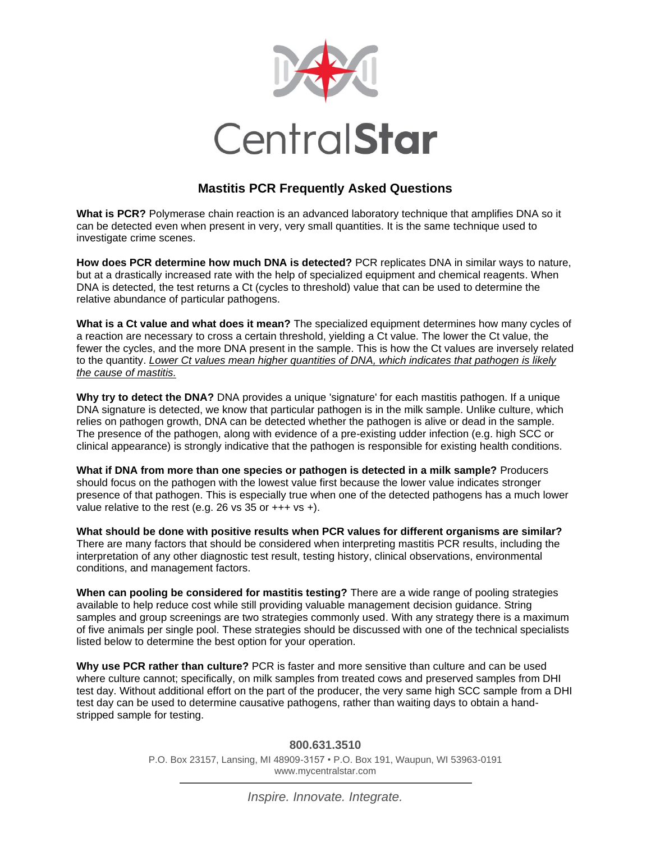

## **Mastitis PCR Frequently Asked Questions**

**What is PCR?** Polymerase chain reaction is an advanced laboratory technique that amplifies DNA so it can be detected even when present in very, very small quantities. It is the same technique used to investigate crime scenes.

**How does PCR determine how much DNA is detected?** PCR replicates DNA in similar ways to nature, but at a drastically increased rate with the help of specialized equipment and chemical reagents. When DNA is detected, the test returns a Ct (cycles to threshold) value that can be used to determine the relative abundance of particular pathogens.

**What is a Ct value and what does it mean?** The specialized equipment determines how many cycles of a reaction are necessary to cross a certain threshold, yielding a Ct value. The lower the Ct value, the fewer the cycles, and the more DNA present in the sample. This is how the Ct values are inversely related to the quantity. *Lower Ct values mean higher quantities of DNA, which indicates that pathogen is likely the cause of mastitis.*

**Why try to detect the DNA?** DNA provides a unique 'signature' for each mastitis pathogen. If a unique DNA signature is detected, we know that particular pathogen is in the milk sample. Unlike culture, which relies on pathogen growth, DNA can be detected whether the pathogen is alive or dead in the sample. The presence of the pathogen, along with evidence of a pre-existing udder infection (e.g. high SCC or clinical appearance) is strongly indicative that the pathogen is responsible for existing health conditions.

**What if DNA from more than one species or pathogen is detected in a milk sample?** Producers should focus on the pathogen with the lowest value first because the lower value indicates stronger presence of that pathogen. This is especially true when one of the detected pathogens has a much lower value relative to the rest (e.g. 26 vs 35 or  $+++$  vs  $+)$ .

**What should be done with positive results when PCR values for different organisms are similar?**  There are many factors that should be considered when interpreting mastitis PCR results, including the interpretation of any other diagnostic test result, testing history, clinical observations, environmental conditions, and management factors.

**When can pooling be considered for mastitis testing?** There are a wide range of pooling strategies available to help reduce cost while still providing valuable management decision guidance. String samples and group screenings are two strategies commonly used. With any strategy there is a maximum of five animals per single pool. These strategies should be discussed with one of the technical specialists listed below to determine the best option for your operation.

**Why use PCR rather than culture?** PCR is faster and more sensitive than culture and can be used where culture cannot; specifically, on milk samples from treated cows and preserved samples from DHI test day. Without additional effort on the part of the producer, the very same high SCC sample from a DHI test day can be used to determine causative pathogens, rather than waiting days to obtain a handstripped sample for testing.

> **800.631.3510** P.O. Box 23157, Lansing, MI 48909-3157 • P.O. Box 191, Waupun, WI 53963-0191 www.mycentralstar.com

> > *Inspire. Innovate. Integrate.*